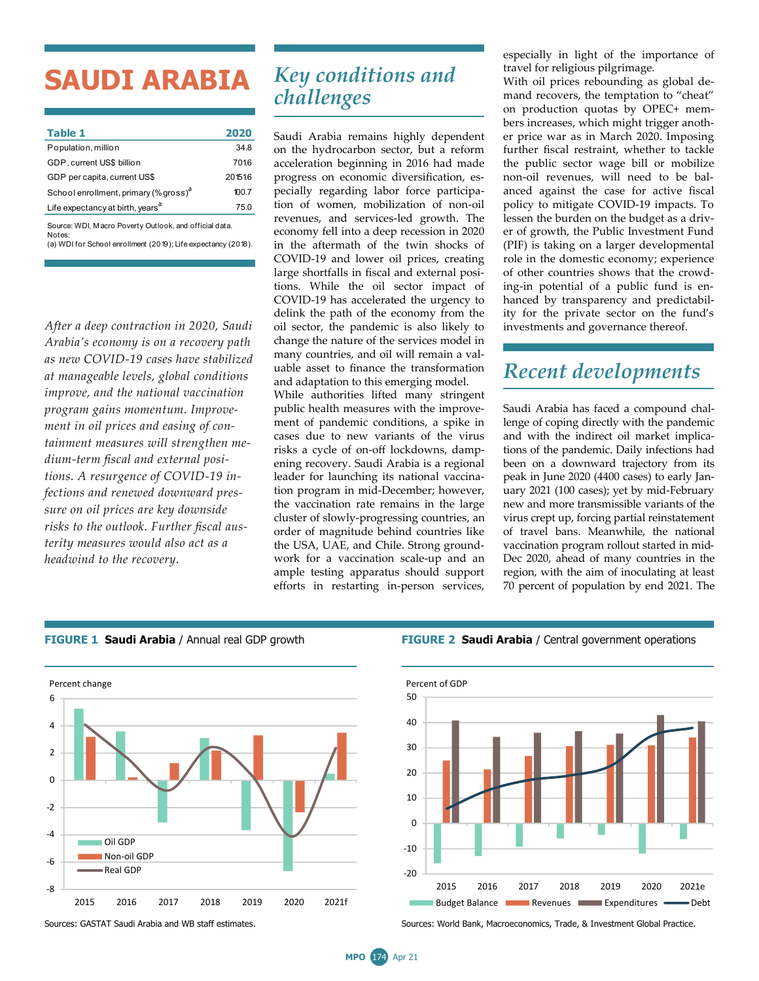# **SAUDI ARABIA**

| Table 1                                                | 2020   |
|--------------------------------------------------------|--------|
| Population, million                                    | 34.8   |
| GDP, current US\$ billion                              | 7016   |
| GDP per capita, current US\$                           | 201516 |
| School enrollment, primary (% gross) <sup>d</sup>      | 100.7  |
| Life expectancy at birth, years <sup>a</sup>           | 75.0   |
| Source: WDI, Macro Poverty Outlook, and official data. |        |

(a) WDI for School enrollment (2019); Life expectancy (2018). **Notes** 

*After a deep contraction in 2020, Saudi Arabia's economy is on a recovery path as new COVID-19 cases have stabilized at manageable levels, global conditions improve, and the national vaccination program gains momentum. Improvement in oil prices and easing of containment measures will strengthen medium-term fiscal and external positions. A resurgence of COVID-19 infections and renewed downward pressure on oil prices are key downside risks to the outlook. Further fiscal austerity measures would also act as a headwind to the recovery.* 

## *Key conditions and challenges*

Saudi Arabia remains highly dependent on the hydrocarbon sector, but a reform acceleration beginning in 2016 had made progress on economic diversification, especially regarding labor force participation of women, mobilization of non-oil revenues, and services-led growth. The economy fell into a deep recession in 2020 in the aftermath of the twin shocks of COVID-19 and lower oil prices, creating large shortfalls in fiscal and external positions. While the oil sector impact of COVID-19 has accelerated the urgency to delink the path of the economy from the oil sector, the pandemic is also likely to change the nature of the services model in many countries, and oil will remain a valuable asset to finance the transformation and adaptation to this emerging model.

While authorities lifted many stringent public health measures with the improvement of pandemic conditions, a spike in cases due to new variants of the virus risks a cycle of on-off lockdowns, dampening recovery. Saudi Arabia is a regional leader for launching its national vaccination program in mid-December; however, the vaccination rate remains in the large cluster of slowly-progressing countries, an order of magnitude behind countries like the USA, UAE, and Chile. Strong groundwork for a vaccination scale-up and an ample testing apparatus should support efforts in restarting in-person services,

especially in light of the importance of travel for religious pilgrimage.

With oil prices rebounding as global demand recovers, the temptation to "cheat" on production quotas by OPEC+ members increases, which might trigger another price war as in March 2020. Imposing further fiscal restraint, whether to tackle the public sector wage bill or mobilize non-oil revenues, will need to be balanced against the case for active fiscal policy to mitigate COVID-19 impacts. To lessen the burden on the budget as a driver of growth, the Public Investment Fund (PIF) is taking on a larger developmental role in the domestic economy; experience of other countries shows that the crowding-in potential of a public fund is enhanced by transparency and predictability for the private sector on the fund's investments and governance thereof.

### *Recent developments*

Saudi Arabia has faced a compound challenge of coping directly with the pandemic and with the indirect oil market implications of the pandemic. Daily infections had been on a downward trajectory from its peak in June 2020 (4400 cases) to early January 2021 (100 cases); yet by mid-February new and more transmissible variants of the virus crept up, forcing partial reinstatement of travel bans. Meanwhile, the national vaccination program rollout started in mid-Dec 2020, ahead of many countries in the region, with the aim of inoculating at least 70 percent of population by end 2021. The



### **FIGURE 1 Saudi Arabia** / Annual real GDP growth **FIGURE 2 Saudi Arabia** / Central government operations



Sources: GASTAT Saudi Arabia and WB staff estimates. Sources: World Bank, Macroeconomics, Trade, & Investment Global Practice.